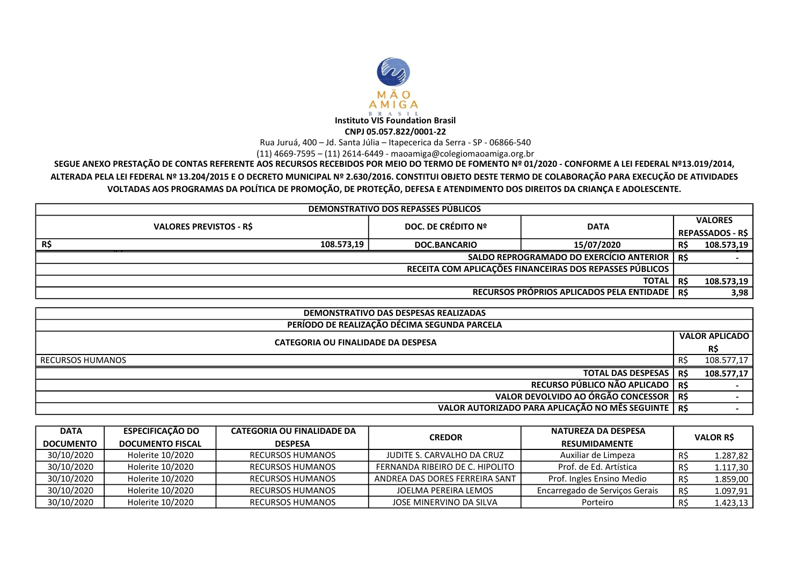

Rua Juruá, 400 – Jd. Santa Júlia – Itapecerica da Serra - SP - 06866-540

(11) 4669-7595 – (11) 2614-6449 - maoamiga@colegiomaoamiga.org.br

SEGUE ANEXO PRESTAÇÃO DE CONTAS REFERENTE AOS RECURSOS RECEBIDOS POR MEIO DO TERMO DE FOMENTO Nº 01/2020 - CONFORME A LEI FEDERAL Nº13.019/2014, ALTERADA PELA LEI FEDERAL Nº 13.204/2015 E O DECRETO MUNICIPAL Nº 2.630/2016. CONSTITUI OBJETO DESTE TERMO DE COLABORAÇÃO PARA EXECUÇÃO DE ATIVIDADES VOLTADAS AOS PROGRAMAS DA POLÍTICA DE PROMOÇÃO, DE PROTEÇÃO, DEFESA E ATENDIMENTO DOS DIREITOS DA CRIANÇA E ADOLESCENTE.

| DEMONSTRATIVO DOS REPASSES PÚBLICOS                      |                    |             |                |                         |  |
|----------------------------------------------------------|--------------------|-------------|----------------|-------------------------|--|
| <b>VALORES PREVISTOS - RS</b>                            | DOC. DE CRÉDITO Nº | <b>DATA</b> | <b>VALORES</b> |                         |  |
|                                                          |                    |             |                | <b>REPASSADOS - R\$</b> |  |
| R\$<br>108.573,19                                        | DOC.BANCARIO       | 15/07/2020  | R\$            | 108.573,19              |  |
| <b>SALDO REPROGRAMADO DO EXERCÍCIO ANTERIOR</b>          |                    |             |                |                         |  |
| RECEITA COM APLICAÇÕES FINANCEIRAS DOS REPASSES PÚBLICOS |                    |             |                |                         |  |
| <b>TOTAL</b>                                             |                    |             |                | 108.573,19              |  |
| RECURSOS PRÓPRIOS APLICADOS PELA ENTIDADE   R\$          |                    |             |                | 3,98                    |  |

| <b>DEMONSTRATIVO DAS DESPESAS REALIZADAS</b>          |       |                       |  |  |
|-------------------------------------------------------|-------|-----------------------|--|--|
| PERÍODO DE REALIZAÇÃO DÉCIMA SEGUNDA PARCELA          |       |                       |  |  |
| CATEGORIA OU FINALIDADE DA DESPESA                    |       | <b>VALOR APLICADO</b> |  |  |
|                                                       |       | R\$                   |  |  |
| RECURSOS HUMANOS                                      | R\$   | 108.577,17            |  |  |
| <b>TOTAL DAS DESPESAS</b>                             | - R\$ | 108.577,17            |  |  |
| RECURSO PÚBLICO NÃO APLICADO   R\$                    |       |                       |  |  |
| VALOR DEVOLVIDO AO ÓRGÃO CONCESSOR R\$                |       |                       |  |  |
| VALOR AUTORIZADO PARA APLICAÇÃO NO MÊS SEGUINTE   R\$ |       |                       |  |  |

| <b>DATA</b>      | <b>ESPECIFICACÃO DO</b> | <b>CATEGORIA OU FINALIDADE DA</b> | <b>CREDOR</b>                   | NATUREZA DA DESPESA            |                 |          |
|------------------|-------------------------|-----------------------------------|---------------------------------|--------------------------------|-----------------|----------|
| <b>DOCUMENTO</b> | <b>DOCUMENTO FISCAL</b> | <b>DESPESA</b>                    |                                 | <b>RESUMIDAMENTE</b>           | <b>VALOR RS</b> |          |
| 30/10/2020       | Holerite 10/2020        | RECURSOS HUMANOS                  | JUDITE S. CARVALHO DA CRUZ      | Auxiliar de Limpeza            | R\$             | 1.287,82 |
| 30/10/2020       | Holerite 10/2020        | <b>RECURSOS HUMANOS</b>           | FERNANDA RIBEIRO DE C. HIPOLITO | Prof. de Ed. Artística         | R\$             | 1.117,30 |
| 30/10/2020       | Holerite 10/2020        | <b>RECURSOS HUMANOS</b>           | ANDREA DAS DORES FERREIRA SANT  | Prof. Ingles Ensino Medio      | R\$             | 1.859,00 |
| 30/10/2020       | Holerite 10/2020        | <b>RECURSOS HUMANOS</b>           | JOELMA PEREIRA LEMOS            | Encarregado de Serviços Gerais | R\$             | 1.097,91 |
| 30/10/2020       | Holerite 10/2020        | <b>RECURSOS HUMANOS</b>           | JOSE MINERVINO DA SILVA         | Porteiro                       | RS              | 1.423,13 |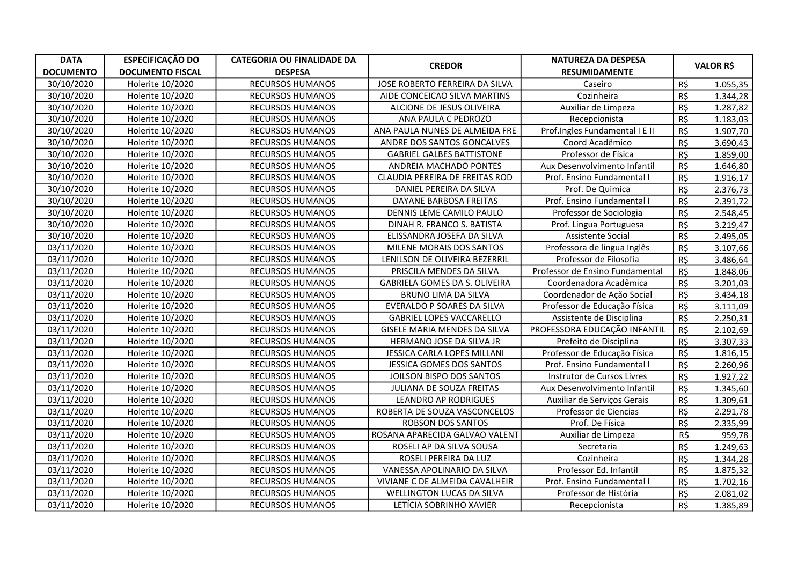| <b>DATA</b>      | <b>ESPECIFICAÇÃO DO</b> | <b>CATEGORIA OU FINALIDADE DA</b> | <b>CREDOR</b>                    | <b>NATUREZA DA DESPESA</b>      |     | <b>VALOR R\$</b> |
|------------------|-------------------------|-----------------------------------|----------------------------------|---------------------------------|-----|------------------|
| <b>DOCUMENTO</b> | <b>DOCUMENTO FISCAL</b> | <b>DESPESA</b>                    |                                  | <b>RESUMIDAMENTE</b>            |     |                  |
| 30/10/2020       | Holerite 10/2020        | RECURSOS HUMANOS                  | JOSE ROBERTO FERREIRA DA SILVA   | Caseiro                         | R\$ | 1.055,35         |
| 30/10/2020       | Holerite 10/2020        | <b>RECURSOS HUMANOS</b>           | AIDE CONCEICAO SILVA MARTINS     | Cozinheira                      | R\$ | 1.344,28         |
| 30/10/2020       | Holerite 10/2020        | RECURSOS HUMANOS                  | ALCIONE DE JESUS OLIVEIRA        | Auxiliar de Limpeza             | R\$ | 1.287,82         |
| 30/10/2020       | Holerite 10/2020        | RECURSOS HUMANOS                  | ANA PAULA C PEDROZO              | Recepcionista                   | R\$ | 1.183,03         |
| 30/10/2020       | Holerite 10/2020        | RECURSOS HUMANOS                  | ANA PAULA NUNES DE ALMEIDA FRE   | Prof.Ingles Fundamental I E II  | R\$ | 1.907,70         |
| 30/10/2020       | Holerite 10/2020        | RECURSOS HUMANOS                  | ANDRE DOS SANTOS GONCALVES       | Coord Acadêmico                 | R\$ | 3.690,43         |
| 30/10/2020       | Holerite 10/2020        | <b>RECURSOS HUMANOS</b>           | <b>GABRIEL GALBES BATTISTONE</b> | Professor de Física             | R\$ | 1.859,00         |
| 30/10/2020       | Holerite 10/2020        | <b>RECURSOS HUMANOS</b>           | ANDREIA MACHADO PONTES           | Aux Desenvolvimento Infantil    | R\$ | 1.646,80         |
| 30/10/2020       | Holerite 10/2020        | RECURSOS HUMANOS                  | CLAUDIA PEREIRA DE FREITAS ROD   | Prof. Ensino Fundamental I      | R\$ | 1.916,17         |
| 30/10/2020       | Holerite 10/2020        | RECURSOS HUMANOS                  | DANIEL PEREIRA DA SILVA          | Prof. De Quimica                | R\$ | 2.376,73         |
| 30/10/2020       | Holerite 10/2020        | RECURSOS HUMANOS                  | DAYANE BARBOSA FREITAS           | Prof. Ensino Fundamental I      | R\$ | 2.391,72         |
| 30/10/2020       | Holerite 10/2020        | <b>RECURSOS HUMANOS</b>           | DENNIS LEME CAMILO PAULO         | Professor de Sociologia         | R\$ | 2.548,45         |
| 30/10/2020       | Holerite 10/2020        | <b>RECURSOS HUMANOS</b>           | DINAH R. FRANCO S. BATISTA       | Prof. Lingua Portuguesa         | R\$ | 3.219,47         |
| 30/10/2020       | Holerite 10/2020        | <b>RECURSOS HUMANOS</b>           | ELISSANDRA JOSEFA DA SILVA       | Assistente Social               | R\$ | 2.495,05         |
| 03/11/2020       | Holerite 10/2020        | RECURSOS HUMANOS                  | MILENE MORAIS DOS SANTOS         | Professora de lingua Inglês     | R\$ | 3.107,66         |
| 03/11/2020       | Holerite 10/2020        | RECURSOS HUMANOS                  | LENILSON DE OLIVEIRA BEZERRIL    | Professor de Filosofia          | R\$ | 3.486,64         |
| 03/11/2020       | Holerite 10/2020        | RECURSOS HUMANOS                  | PRISCILA MENDES DA SILVA         | Professor de Ensino Fundamental | R\$ | 1.848,06         |
| 03/11/2020       | Holerite 10/2020        | RECURSOS HUMANOS                  | GABRIELA GOMES DA S. OLIVEIRA    | Coordenadora Acadêmica          | R\$ | 3.201,03         |
| 03/11/2020       | Holerite 10/2020        | RECURSOS HUMANOS                  | BRUNO LIMA DA SILVA              | Coordenador de Ação Social      | R\$ | 3.434,18         |
| 03/11/2020       | Holerite 10/2020        | RECURSOS HUMANOS                  | EVERALDO P SOARES DA SILVA       | Professor de Educação Física    | R\$ | 3.111,09         |
| 03/11/2020       | Holerite 10/2020        | <b>RECURSOS HUMANOS</b>           | <b>GABRIEL LOPES VACCARELLO</b>  | Assistente de Disciplina        | R\$ | 2.250,31         |
| 03/11/2020       | Holerite 10/2020        | <b>RECURSOS HUMANOS</b>           | GISELE MARIA MENDES DA SILVA     | PROFESSORA EDUCAÇÃO INFANTIL    | R\$ | 2.102,69         |
| 03/11/2020       | Holerite 10/2020        | <b>RECURSOS HUMANOS</b>           | HERMANO JOSE DA SILVA JR         | Prefeito de Disciplina          | R\$ | 3.307,33         |
| 03/11/2020       | Holerite 10/2020        | RECURSOS HUMANOS                  | JESSICA CARLA LOPES MILLANI      | Professor de Educação Física    | R\$ | 1.816,15         |
| 03/11/2020       | Holerite 10/2020        | RECURSOS HUMANOS                  | JESSICA GOMES DOS SANTOS         | Prof. Ensino Fundamental I      | R\$ | 2.260,96         |
| 03/11/2020       | Holerite 10/2020        | <b>RECURSOS HUMANOS</b>           | JOILSON BISPO DOS SANTOS         | Instrutor de Cursos Livres      | R\$ | 1.927,22         |
| 03/11/2020       | Holerite 10/2020        | RECURSOS HUMANOS                  | JULIANA DE SOUZA FREITAS         | Aux Desenvolvimento Infantil    | R\$ | 1.345,60         |
| 03/11/2020       | Holerite 10/2020        | RECURSOS HUMANOS                  | <b>LEANDRO AP RODRIGUES</b>      | Auxiliar de Serviços Gerais     | R\$ | 1.309,61         |
| 03/11/2020       | Holerite 10/2020        | RECURSOS HUMANOS                  | ROBERTA DE SOUZA VASCONCELOS     | Professor de Ciencias           | R\$ | 2.291,78         |
| 03/11/2020       | Holerite 10/2020        | RECURSOS HUMANOS                  | <b>ROBSON DOS SANTOS</b>         | Prof. De Física                 | R\$ | 2.335,99         |
| 03/11/2020       | Holerite 10/2020        | RECURSOS HUMANOS                  | ROSANA APARECIDA GALVAO VALENT   | Auxiliar de Limpeza             | R\$ | 959,78           |
| 03/11/2020       | Holerite 10/2020        | <b>RECURSOS HUMANOS</b>           | ROSELI AP DA SILVA SOUSA         | Secretaria                      | R\$ | 1.249,63         |
| 03/11/2020       | Holerite 10/2020        | RECURSOS HUMANOS                  | ROSELI PEREIRA DA LUZ            | Cozinheira                      | R\$ | 1.344,28         |
| 03/11/2020       | Holerite 10/2020        | RECURSOS HUMANOS                  | VANESSA APOLINARIO DA SILVA      | Professor Ed. Infantil          | R\$ | 1.875,32         |
| 03/11/2020       | Holerite 10/2020        | <b>RECURSOS HUMANOS</b>           | VIVIANE C DE ALMEIDA CAVALHEIR   | Prof. Ensino Fundamental I      | R\$ | 1.702,16         |
| 03/11/2020       | Holerite 10/2020        | RECURSOS HUMANOS                  | <b>WELLINGTON LUCAS DA SILVA</b> | Professor de História           | R\$ | 2.081,02         |
| 03/11/2020       | Holerite 10/2020        | <b>RECURSOS HUMANOS</b>           | LETÍCIA SOBRINHO XAVIER          | Recepcionista                   | R\$ | 1.385,89         |